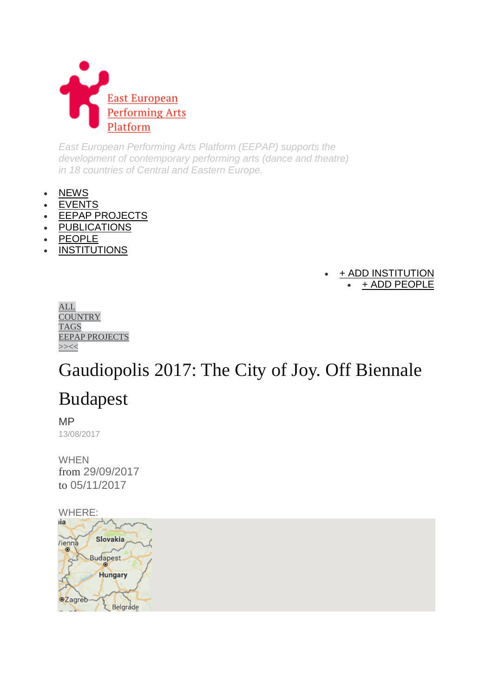

*East European Performing Arts Platform (EEPAP) supports the development of contemporary performing arts (dance and theatre) in 18 countries of Central and Eastern Europe.*

- [NEWS](http://eepap.culture.pl/news)
- **[EVENTS](http://eepap.culture.pl/events)**
- [EEPAP PROJECTS](http://eepap.culture.pl/projects)
- [PUBLICATIONS](http://eepap.culture.pl/feuilletons)
- [PEOPLE](http://eepap.culture.pl/persons)
- **[INSTITUTIONS](http://eepap.culture.pl/institutions)**

#### [+ ADD INSTITUTION](http://eepap.culture.pl/page/add) [+ ADD PEOPLE](http://eepap.culture.pl/page/add)

| ALL.                  |
|-----------------------|
| COUNTRY               |
| TAGS                  |
| <b>EEPAP PROJECTS</b> |
|                       |

# Gaudiopolis 2017: The City of Joy. Off Biennale

# Budapest

MP

13/08/2017

WHEN from 29/09/2017 to 05/11/2017

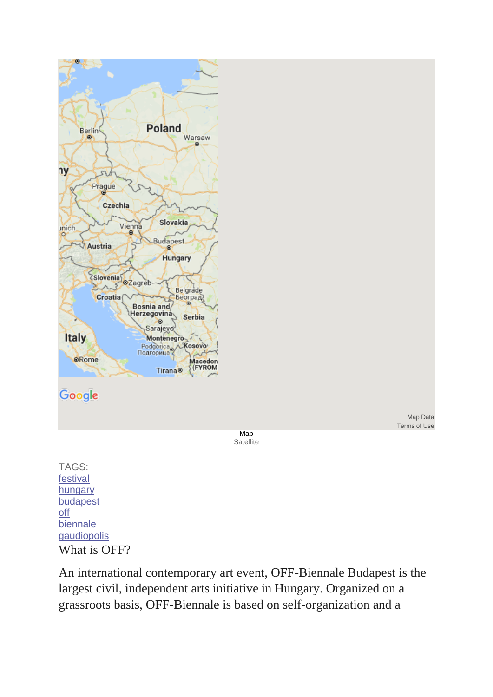

### Google

Map **Satellite** 

Map Data [Terms of Use](https://www.google.com/intl/en_US/help/terms_maps.html)

TAGS: [festival](http://eepap.culture.pl/tags/festival) [hungary](http://eepap.culture.pl/tags/hungary) [budapest](http://eepap.culture.pl/tags/budapest) [off](http://eepap.culture.pl/tags/off) [biennale](http://eepap.culture.pl/tags/biennale) [gaudiopolis](http://eepap.culture.pl/tags/gaudiopolis) What is OFF?

An international contemporary art event, OFF-Biennale Budapest is the largest civil, independent arts initiative in Hungary. Organized on a grassroots basis, OFF-Biennale is based on self-organization and a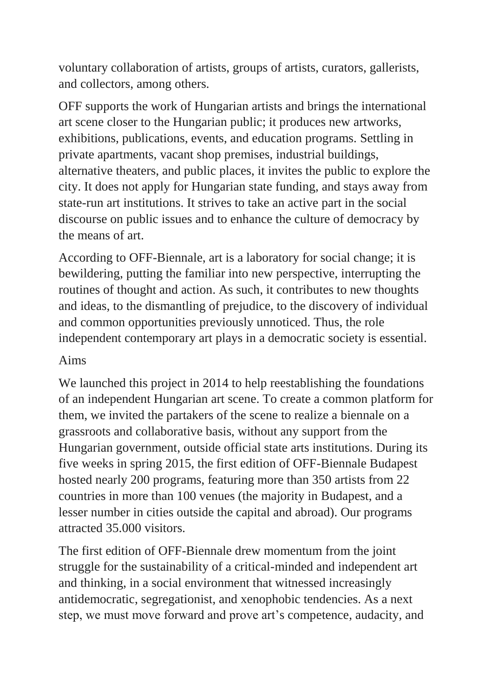voluntary collaboration of artists, groups of artists, curators, gallerists, and collectors, among others.

OFF supports the work of Hungarian artists and brings the international art scene closer to the Hungarian public; it produces new artworks, exhibitions, publications, events, and education programs. Settling in private apartments, vacant shop premises, industrial buildings, alternative theaters, and public places, it invites the public to explore the city. It does not apply for Hungarian state funding, and stays away from state-run art institutions. It strives to take an active part in the social discourse on public issues and to enhance the culture of democracy by the means of art.

According to OFF-Biennale, art is a laboratory for social change; it is bewildering, putting the familiar into new perspective, interrupting the routines of thought and action. As such, it contributes to new thoughts and ideas, to the dismantling of prejudice, to the discovery of individual and common opportunities previously unnoticed. Thus, the role independent contemporary art plays in a democratic society is essential.

### Aims

We launched this project in 2014 to help reestablishing the foundations of an independent Hungarian art scene. To create a common platform for them, we invited the partakers of the scene to realize a biennale on a grassroots and collaborative basis, without any support from the Hungarian government, outside official state arts institutions. During its five weeks in spring 2015, the first edition of OFF-Biennale Budapest hosted nearly 200 programs, featuring more than 350 artists from 22 countries in more than 100 venues (the majority in Budapest, and a lesser number in cities outside the capital and abroad). Our programs attracted 35.000 visitors.

The first edition of OFF-Biennale drew momentum from the joint struggle for the sustainability of a critical-minded and independent art and thinking, in a social environment that witnessed increasingly antidemocratic, segregationist, and xenophobic tendencies. As a next step, we must move forward and prove art's competence, audacity, and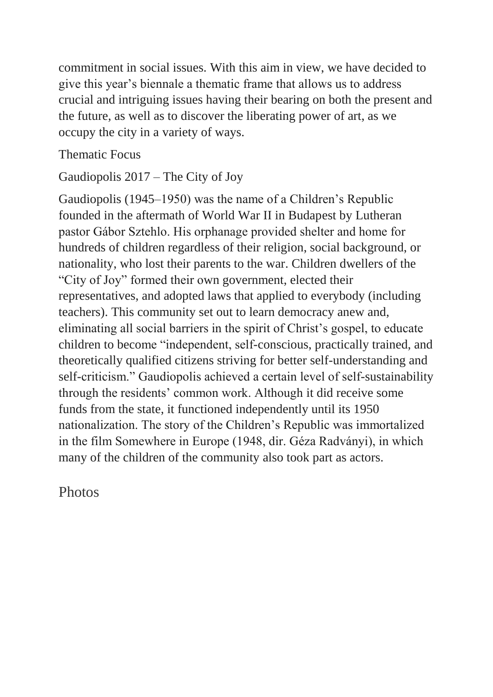commitment in social issues. With this aim in view, we have decided to give this year's biennale a thematic frame that allows us to address crucial and intriguing issues having their bearing on both the present and the future, as well as to discover the liberating power of art, as we occupy the city in a variety of ways.

#### Thematic Focus

Gaudiopolis 2017 – The City of Joy

Gaudiopolis (1945–1950) was the name of a Children's Republic founded in the aftermath of World War II in Budapest by Lutheran pastor Gábor Sztehlo. His orphanage provided shelter and home for hundreds of children regardless of their religion, social background, or nationality, who lost their parents to the war. Children dwellers of the "City of Joy" formed their own government, elected their representatives, and adopted laws that applied to everybody (including teachers). This community set out to learn democracy anew and, eliminating all social barriers in the spirit of Christ's gospel, to educate children to become "independent, self-conscious, practically trained, and theoretically qualified citizens striving for better self-understanding and self-criticism." Gaudiopolis achieved a certain level of self-sustainability through the residents' common work. Although it did receive some funds from the state, it functioned independently until its 1950 nationalization. The story of the Children's Republic was immortalized in the film Somewhere in Europe (1948, dir. Géza Radványi), in which many of the children of the community also took part as actors.

Photos